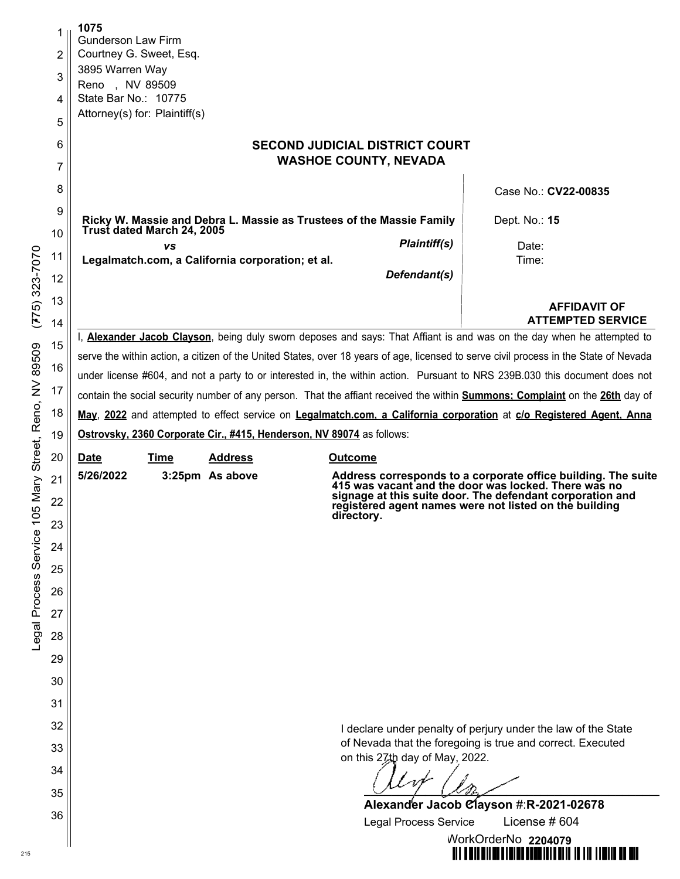| 1      | 1075<br><b>Gunderson Law Firm</b>                                                                                                     |                                                                                                                                     |  |  |  |  |  |  |
|--------|---------------------------------------------------------------------------------------------------------------------------------------|-------------------------------------------------------------------------------------------------------------------------------------|--|--|--|--|--|--|
| 2      | Courtney G. Sweet, Esq.                                                                                                               |                                                                                                                                     |  |  |  |  |  |  |
| 3      | 3895 Warren Way                                                                                                                       |                                                                                                                                     |  |  |  |  |  |  |
| 4      | Reno, NV 89509<br>State Bar No.: 10775                                                                                                |                                                                                                                                     |  |  |  |  |  |  |
| 5      | Attorney(s) for: Plaintiff(s)                                                                                                         |                                                                                                                                     |  |  |  |  |  |  |
|        |                                                                                                                                       |                                                                                                                                     |  |  |  |  |  |  |
| 6<br>7 | <b>SECOND JUDICIAL DISTRICT COURT</b><br><b>WASHOE COUNTY, NEVADA</b>                                                                 |                                                                                                                                     |  |  |  |  |  |  |
| 8      |                                                                                                                                       | Case No.: CV22-00835                                                                                                                |  |  |  |  |  |  |
| 9      | Ricky W. Massie and Debra L. Massie as Trustees of the Massie Family<br>Trust dated March 24, 2005                                    | Dept. No.: 15                                                                                                                       |  |  |  |  |  |  |
| 10     | <b>VS</b>                                                                                                                             | Plaintiff(s)<br>Date:                                                                                                               |  |  |  |  |  |  |
| 11     | Legalmatch.com, a California corporation; et al.                                                                                      | Time:                                                                                                                               |  |  |  |  |  |  |
| 12     |                                                                                                                                       | Defendant(s)                                                                                                                        |  |  |  |  |  |  |
| 13     |                                                                                                                                       | <b>AFFIDAVIT OF</b><br><b>ATTEMPTED SERVICE</b>                                                                                     |  |  |  |  |  |  |
| 14     |                                                                                                                                       | I, <b>Alexander Jacob Clayson</b> , being duly sworn deposes and says: That Affiant is and was on the day when he attempted to      |  |  |  |  |  |  |
| 15     | serve the within action, a citizen of the United States, over 18 years of age, licensed to serve civil process in the State of Nevada |                                                                                                                                     |  |  |  |  |  |  |
| 16     | under license #604, and not a party to or interested in, the within action. Pursuant to NRS 239B.030 this document does not           |                                                                                                                                     |  |  |  |  |  |  |
| 17     |                                                                                                                                       | contain the social security number of any person. That the affiant received the within <b>Summons; Complaint</b> on the 26th day of |  |  |  |  |  |  |
| 18     |                                                                                                                                       | May, 2022 and attempted to effect service on Legalmatch.com, a California corporation at c/o Registered Agent, Anna                 |  |  |  |  |  |  |
| 19     | Ostrovsky, 2360 Corporate Cir., #415, Henderson, NV 89074 as follows:                                                                 |                                                                                                                                     |  |  |  |  |  |  |
| 20     | <b>Address</b><br><b>Date</b><br>Time                                                                                                 | <b>Outcome</b>                                                                                                                      |  |  |  |  |  |  |
| 21     | 5/26/2022<br>3:25pm As above                                                                                                          | Address corresponds to a corporate office building. The suite 415 was vacant and the door was locked. There was no                  |  |  |  |  |  |  |
| 22     |                                                                                                                                       | signage at this suite door. The defendant corporation and<br>registered agent names were not listed on the building<br>directory.   |  |  |  |  |  |  |
| 23     |                                                                                                                                       |                                                                                                                                     |  |  |  |  |  |  |
| 24     |                                                                                                                                       |                                                                                                                                     |  |  |  |  |  |  |
| 25     |                                                                                                                                       |                                                                                                                                     |  |  |  |  |  |  |
| 26     |                                                                                                                                       |                                                                                                                                     |  |  |  |  |  |  |
| 27     |                                                                                                                                       |                                                                                                                                     |  |  |  |  |  |  |
| 28     |                                                                                                                                       |                                                                                                                                     |  |  |  |  |  |  |
| 29     |                                                                                                                                       |                                                                                                                                     |  |  |  |  |  |  |
| 30     |                                                                                                                                       |                                                                                                                                     |  |  |  |  |  |  |
| 31     |                                                                                                                                       |                                                                                                                                     |  |  |  |  |  |  |
| 32     |                                                                                                                                       | I declare under penalty of perjury under the law of the State                                                                       |  |  |  |  |  |  |
| 33     | of Nevada that the foregoing is true and correct. Executed                                                                            |                                                                                                                                     |  |  |  |  |  |  |
| 34     | on this 27th day of May, 2022.                                                                                                        |                                                                                                                                     |  |  |  |  |  |  |
| 35     |                                                                                                                                       |                                                                                                                                     |  |  |  |  |  |  |
|        | Alexander Jacob Clayson #:R-2021-02678                                                                                                |                                                                                                                                     |  |  |  |  |  |  |
| 36     |                                                                                                                                       | <b>Legal Process Service</b><br>License $#604$                                                                                      |  |  |  |  |  |  |
|        |                                                                                                                                       | WorkOrderNo 2204079                                                                                                                 |  |  |  |  |  |  |

\_\_\_\_\_\_\_\_\_\_\_\_\_\_\_\_\_\_\_\_\_\_\_\_\_\_\_\_\_\_\_\_\_\_\_\_\_\_\_\_\_\_\_\_\_\_\_\_\_\_\_\_\_\_\_\_\_\_